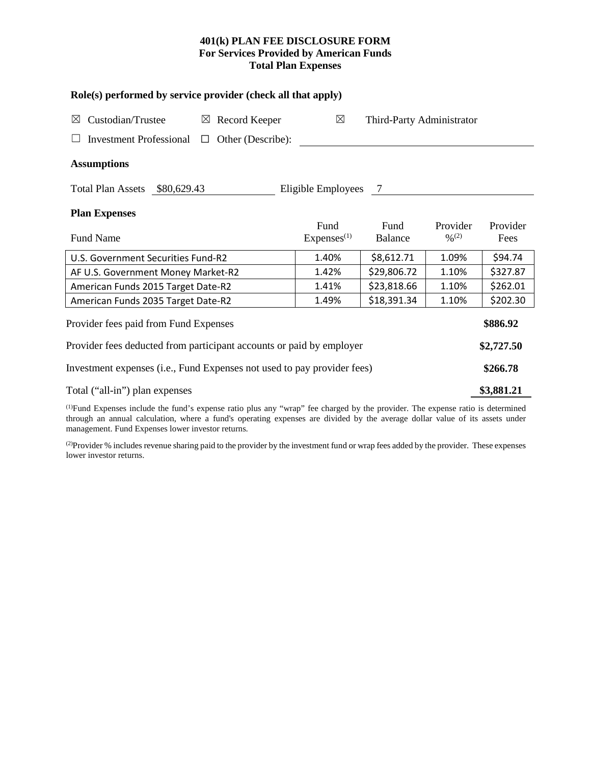# **401(k) PLAN FEE DISCLOSURE FORM For Services Provided by American Funds Total Plan Expenses**

| Role(s) performed by service provider (check all that apply)                                                                  |                                |                           |                                          |                  |  |  |
|-------------------------------------------------------------------------------------------------------------------------------|--------------------------------|---------------------------|------------------------------------------|------------------|--|--|
| Custodian/Trustee<br>$\boxtimes$ Record Keeper<br>⊠                                                                           | $\boxtimes$                    | Third-Party Administrator |                                          |                  |  |  |
| Investment Professional $\Box$ Other (Describe):                                                                              |                                |                           |                                          |                  |  |  |
| <b>Assumptions</b>                                                                                                            |                                |                           |                                          |                  |  |  |
| Total Plan Assets \$80,629.43                                                                                                 | Eligible Employees 7           |                           |                                          |                  |  |  |
| <b>Plan Expenses</b>                                                                                                          |                                |                           |                                          |                  |  |  |
| Fund Name                                                                                                                     | Fund<br>Express <sup>(1)</sup> | Fund<br>Balance           | Provider<br>$\frac{0}{2}$ <sup>(2)</sup> | Provider<br>Fees |  |  |
| U.S. Government Securities Fund-R2                                                                                            | 1.40%                          | \$8,612.71                | 1.09%                                    | \$94.74          |  |  |
| AF U.S. Government Money Market-R2                                                                                            | 1.42%                          | \$29,806.72               | 1.10%                                    | \$327.87         |  |  |
| American Funds 2015 Target Date-R2                                                                                            | 1.41%                          | \$23,818.66               | 1.10%                                    | \$262.01         |  |  |
| American Funds 2035 Target Date-R2                                                                                            | 1.49%                          | \$18,391.34               | 1.10%                                    | \$202.30         |  |  |
| Provider fees paid from Fund Expenses                                                                                         |                                |                           |                                          | \$886.92         |  |  |
| Provider fees deducted from participant accounts or paid by employer                                                          |                                |                           |                                          |                  |  |  |
| Investment expenses (i.e., Fund Expenses not used to pay provider fees)                                                       |                                |                           |                                          |                  |  |  |
| Total ("all-in") plan expenses                                                                                                |                                |                           |                                          |                  |  |  |
| (DEund Expanses include the fund's expanse ratio plus any "wron" for shareed by the provider. The expanse ratio is determined |                                |                           |                                          |                  |  |  |

(1) Fund Expenses include the fund's expense ratio plus any "wrap" fee charged by the provider. The expense ratio is determined through an annual calculation, where a fund's operating expenses are divided by the average dollar value of its assets under management. Fund Expenses lower investor returns.

(2) Provider % includes revenue sharing paid to the provider by the investment fund or wrap fees added by the provider. These expenses lower investor returns.